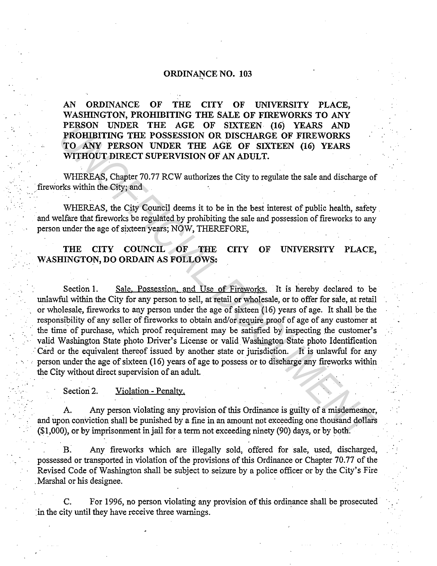## ORDINANCE NO. 103

AN ORDINANCE OF THE CITY OF UNIVERSITY PLACE, WASHINGTON, PROHIBITING THE SALE OF FIREWORKS TO ANY PERSON UNDER THE AGE OF SIXTEEN (16) YEARS AND PROHIBITING THE POSSESSION OR DISCHARGE OF FIREWORKS TO ANY PERSON UNDER THE AGE OF SIXTEEN (16) YEARS WITHOUT DIRECT SUPERVISION OF AN ADULT.

WHEREAS, Chapter 70.77 RCW authorizes the City to regulate the sale and discharge of fireworks within the City; and

WHEREAS, the City Council deems it to be in the best interest of public health, safety and welfare that fireworks be regulated by prohibiting the sale and possession of fireworks to any person under the age of sixteen years; NOW, THEREFORE,

## THE CITY COUNCIL OF THE CITY OF UNIVERSITY PLACE, WASHINGTON, DO ORDAIN AS FOLLOWS:

Section 1. Sale, Possession, and Use of Fireworks. It is hereby declared to be unlawful within the City for any person to sell, at retail or wholesale, or to offer for sale, at retail or wholesale, fireworks to any person under the age of sixteen (16) years of age. It shall be the responsibility of any seller of fireworks to obtain and/or require proof of age of any customer at the time of purchase, which proof requirement may be satisfied by inspecting the customer's valid Washington State photo Driver's License or valid Washington State photo Identification Card or the equivalent thereof issued by another state or jurisdiction. It is unlawful for any person under the age of sixteen (16) years of age to possess or to discharge any fireworks within the City without direct supervision of an adult. **PERSON UNDER THE AGE OF SIXTEEN (16) YEARS AND<br>PROHIBITING THE POSSESSION OR DISCHARGE OF FIREWORKS<br>TO ANY PERSON UNDER THE AGE OF SIXTEEN (16) YEARS<br>WITHOUT DIRECT SUPERVISION OF AN ADULT.<br>WHEREAS, Chapter 70.77 RCW auth** 

## Section 2. Violation - Penalty.

A. Any person violating any provision of this Ordinance is guilty of a misdemeanor, and upon conviction shall be punished by a fine in an amount not exceeding one thousand dollars  $(1,000)$ , or by imprisonment in jail for a term not exceeding ninety  $(90)$  days, or by both.

B. Any fireworks which are illegally sold, offered for sale, used, discharged, possessed or transported in violation of the provisions of this Ordinance or Chapter 70. 77 of the Revised Code of Washington shall be subject to seizure by a police officer or by the City's Fire . Marshal or his designee.

C. For 1996, no person violating any provision of this ordinance shall be prosecuted ·in the city until they have receive three warnings.